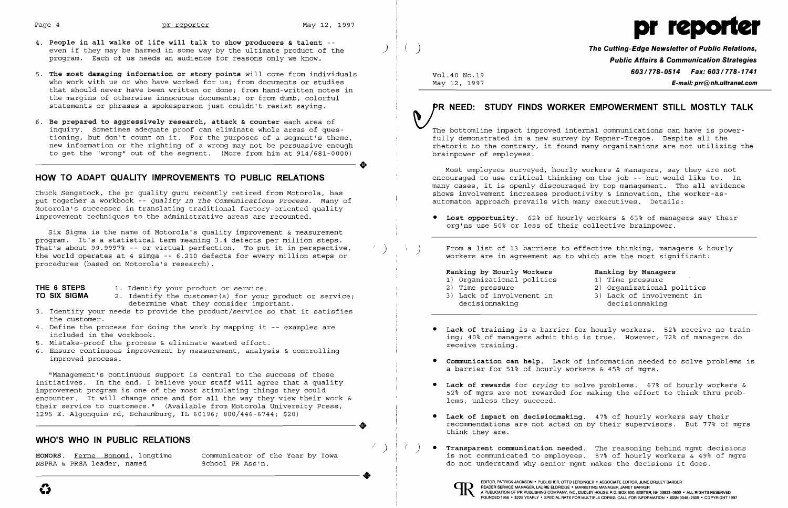**•** 



- 4. **People in all walks of life will talk to show producers & talent**  even if they may be harmed in some way by the ultimate product of the ) ( ) **The Cutting-Edge Newsletter of Public Relations,** program. Each of us needs an audience for reasons only we know. **Public Affairs &Communication Strategies**
- 5. The most damaging information or story points will come from individuals Vol.40 No.19 603/778-0514 Fax: 603/778-0514 Fax: 603/778-1741 who work with us or who have worked for us; from documents or studies May 12, 1997 **E-mail: prr@nh.ultranet.com** that should never have been written or done; from hand-written notes in the margins of otherwise innocuous documents; or from dumb, colorful statements or phrases a spokesperson just couldn't resist saying.
- 6. **Be prepared to aggressively research, attack & counter** each area of inquiry. Sometimes adequate proof can eliminate whole areas of questioning, but don't count on it. For the purposes of a segment's theme, new information or the righting of a wrong may not be persuasive enough to get the "wrong" out of the segment. (More from him at 914/681-0000)

Six Sigma is the name of Motorola's quality improvement & measurement program. It's a statistical term meaning 3.4 defects per million steps. That's about 99.9997% -- or virtual perfection. To put it in perspective, the world operates at 4 simga -- 6,210 defects for every million steps or procedures (based on Motorola's research).

### **HOW TO ADAPT QUALITY IMPROVEMENTS TO PUBLIC RELATIONS**

- decermine what they consider important.<br>3. Identify your needs to provide the product/service so that it satisfies the customer.
- 4. Define the process for doing the work by mapping it -- examples are included in the workbook.
- 5. Mistake-proof the process & eliminate wasted effort.
- 6. Ensure continuous improvement by measurement, analysis & controlling improved process.

Chuck Sengstock, the pr quality guru recently retired from Motorola, has put together a workbook -- *Quality In The Communications Process.* Many of Motorola's successes in translating traditional factory-oriented quality improvement techniques to the administrative areas are recounted.

**HONORS.** Ferne Bonomi, longtime communicator of the Year by Iowa NSPRA & PRSA leader, named School PR Ass'n.

PR NEED: STUDY FINDS WORKER EMPOWERMENT STILL MOSTLY TA<br>The bottomline impact improved internal communications can have is power fully demonstrated in a new survey by Kepner-Tregoe. Despite all the rhetoric to the contrary, it found many organizations are not utilizing the brainpower of employees .

### **THE 6 STEPS TO SIX SIGMA**  1. Identify your product or service. 2. Identify the customer(s) for your product or service; determine what they consider important.

) ( ) From a list of 13 barriers to effective thinking, managers & hourly workers are in agreement as to which are the most significant:

> **•** Lack of training is a barrier for hourly workers. 52% receive no train ing; 40% of managers admit this is true. However, 72% of managers do

> **•** Communication can help. Lack of information needed to solve problems is

( )  $($  ) • **Transparent communication needed**. The reasoning behind mgmt decisions is not communicated to employees. 57% of hourly workers & 49% of mgrs

"Management's continuous support is central to the success of these initiatives. In the end, I believe your staff will agree that a quality improvement program is one of the most stimulating things they could encounter. It will change once and for all the way they view their work & their service to customers." (Available from Motorola University Press, 1295 E. Algonquin rd, Schaumburg, IL 60196; 800/446-6744; \$20) 1295 E. Algonquin rd, Schaumburg, IL 60196; 800/446-6744; \$20)

### **WHO'S WHO IN PUBLIC RELATIONS**

Most employees surveyed, hourly workers & managers, say they are not encouraged to use critical thinking on the job -- but would like to. In many cases, it is openly discouraged by top management. Tho all evidence shows involvement increases productivity & innovation, the worker-asautomaton approach prevails with many executives. Details:

**• Lost opportunity.** 62% of hourly workers & 63% of managers say their org'ns use 50% or less of their collective brainpower.

**Ranking by Hourly Workers** 

### **Ranking by Managers**

- 1} Time pressure
- 2} Organizational politics
- 3} Lack of involvement in decisionmaking
- 
- 1} Organizational politics
- 2} Time pressure
- 3} Lack of involvement in decisionmaking
- receive training.
- a barrier for 51% of hourly workers & 45% of mgrs.
- **Lack of rewards** for *trying* to solve problems. 67% of hourly workers & lems, unless they succeed.
- **Lack of impact on decisionmaking.**  47% of hourly workers say their think they are.
- do not understand why senior mgmt makes the decisions it does.



52% of mgrs are not rewarded for making the effort to think thru prob-

I

recommendations are not acted on by their supervisors. But 77% of mgrs

----------------------.

# **FR. NEED: STUDY FINDS WORKER EMPOWERMENT STILL MOSTLY TALK**